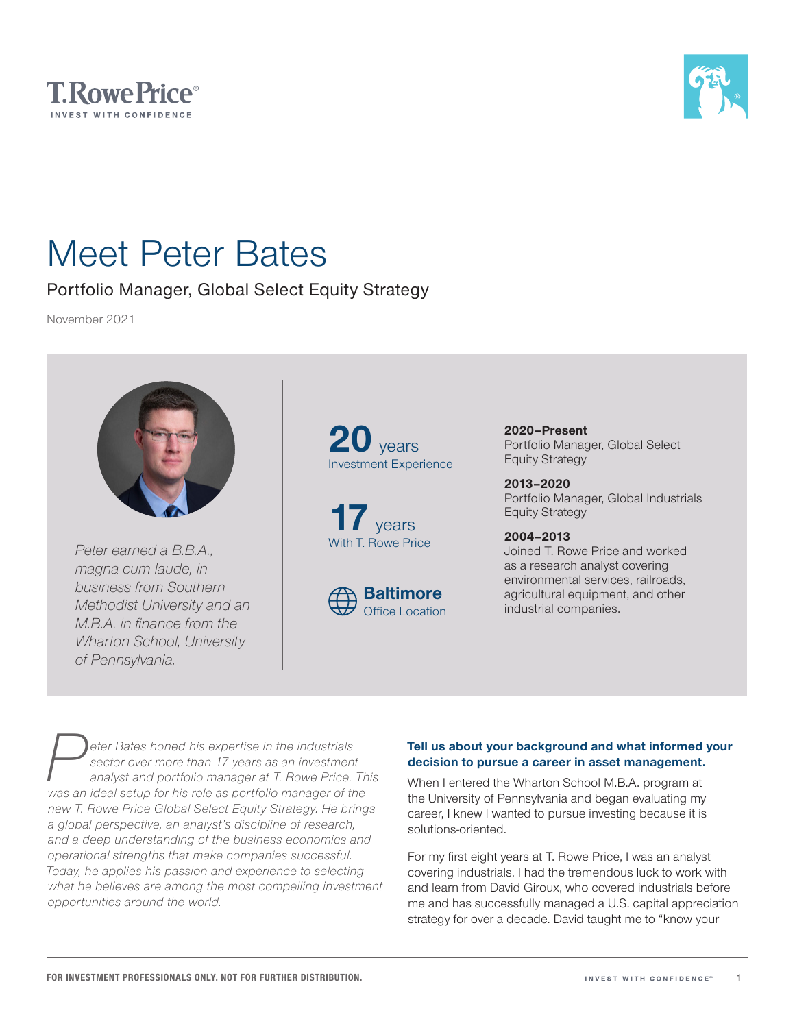



# Meet Peter Bates

### Portfolio Manager, Global Select Equity Strategy

November 2021



*Peter earned a B.B.A., magna cum laude, in business from Southern Methodist University and an M.B.A. in finance from the Wharton School, University of Pennsylvania.*

**20** years Investment Experience





**2020–Present** Portfolio Manager, Global Select Equity Strategy

**2013–2020** Portfolio Manager, Global Industrials Equity Strategy

**2004–2013** Joined T. Rowe Price and worked as a research analyst covering environmental services, railroads, agricultural equipment, and other industrial companies.

**Peter Bates honed his expertise in the industrials sector over more than 17 years as an investment analyst and portfolio manager at T. Rowe Price.<br>
Was an ideal setup for his role as portfolio manager of the** *sector over more than 17 years as an investment analyst and portfolio manager at T. Rowe Price. This was an ideal setup for his role as portfolio manager of the new T. Rowe Price Global Select Equity Strategy. He brings a global perspective, an analyst's discipline of research, and a deep understanding of the business economics and operational strengths that make companies successful. Today, he applies his passion and experience to selecting what he believes are among the most compelling investment opportunities around the world.*

#### **Tell us about your background and what informed your decision to pursue a career in asset management.**

When I entered the Wharton School M.B.A. program at the University of Pennsylvania and began evaluating my career, I knew I wanted to pursue investing because it is solutions-oriented.

For my first eight years at T. Rowe Price, I was an analyst covering industrials. I had the tremendous luck to work with and learn from David Giroux, who covered industrials before me and has successfully managed a U.S. capital appreciation strategy for over a decade. David taught me to "know your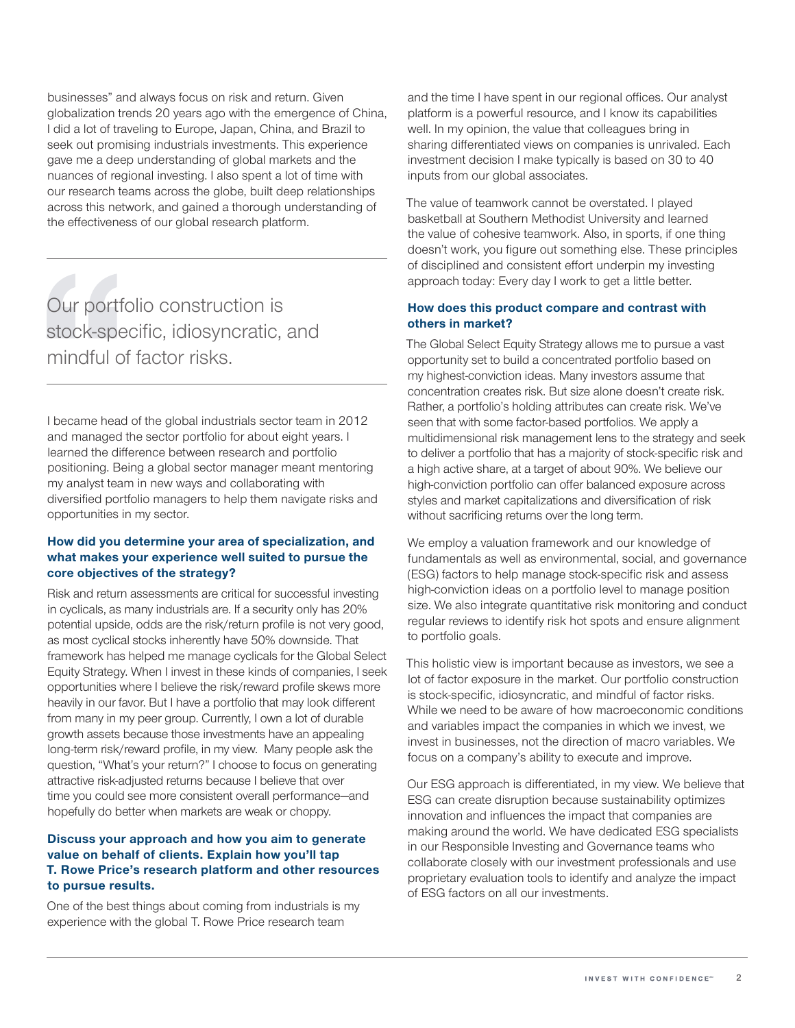businesses" and always focus on risk and return. Given globalization trends 20 years ago with the emergence of China, I did a lot of traveling to Europe, Japan, China, and Brazil to seek out promising industrials investments. This experience gave me a deep understanding of global markets and the nuances of regional investing. I also spent a lot of time with our research teams across the globe, built deep relationships across this network, and gained a thorough understanding of the effectiveness of our global research platform.

Our portfolio construction is stock‑specific, idiosyncratic, and mindful of factor risks.

I became head of the global industrials sector team in 2012 and managed the sector portfolio for about eight years. I learned the difference between research and portfolio positioning. Being a global sector manager meant mentoring my analyst team in new ways and collaborating with diversified portfolio managers to help them navigate risks and opportunities in my sector.

#### **How did you determine your area of specialization, and what makes your experience well suited to pursue the core objectives of the strategy?**

Risk and return assessments are critical for successful investing in cyclicals, as many industrials are. If a security only has 20% potential upside, odds are the risk/return profile is not very good, as most cyclical stocks inherently have 50% downside. That framework has helped me manage cyclicals for the Global Select Equity Strategy. When I invest in these kinds of companies, I seek opportunities where I believe the risk/reward profile skews more heavily in our favor. But I have a portfolio that may look different from many in my peer group. Currently, I own a lot of durable growth assets because those investments have an appealing long-term risk/reward profile, in my view. Many people ask the question, "What's your return?" I choose to focus on generating attractive risk‑adjusted returns because I believe that over time you could see more consistent overall performance—and hopefully do better when markets are weak or choppy.

#### **Discuss your approach and how you aim to generate value on behalf of clients. Explain how you'll tap T. Rowe Price's research platform and other resources to pursue results.**

One of the best things about coming from industrials is my experience with the global T. Rowe Price research team

and the time I have spent in our regional offices. Our analyst platform is a powerful resource, and I know its capabilities well. In my opinion, the value that colleagues bring in sharing differentiated views on companies is unrivaled. Each investment decision I make typically is based on 30 to 40 inputs from our global associates.

The value of teamwork cannot be overstated. I played basketball at Southern Methodist University and learned the value of cohesive teamwork. Also, in sports, if one thing doesn't work, you figure out something else. These principles of disciplined and consistent effort underpin my investing approach today: Every day I work to get a little better.

#### **How does this product compare and contrast with others in market?**

The Global Select Equity Strategy allows me to pursue a vast opportunity set to build a concentrated portfolio based on my highest‑conviction ideas. Many investors assume that concentration creates risk. But size alone doesn't create risk. Rather, a portfolio's holding attributes can create risk. We've seen that with some factor-based portfolios. We apply a multidimensional risk management lens to the strategy and seek to deliver a portfolio that has a majority of stock‑specific risk and a high active share, at a target of about 90%. We believe our high-conviction portfolio can offer balanced exposure across styles and market capitalizations and diversification of risk without sacrificing returns over the long term.

We employ a valuation framework and our knowledge of fundamentals as well as environmental, social, and governance (ESG) factors to help manage stock‑specific risk and assess high-conviction ideas on a portfolio level to manage position size. We also integrate quantitative risk monitoring and conduct regular reviews to identify risk hot spots and ensure alignment to portfolio goals.

This holistic view is important because as investors, we see a lot of factor exposure in the market. Our portfolio construction is stock‑specific, idiosyncratic, and mindful of factor risks. While we need to be aware of how macroeconomic conditions and variables impact the companies in which we invest, we invest in businesses, not the direction of macro variables. We focus on a company's ability to execute and improve.

Our ESG approach is differentiated, in my view. We believe that ESG can create disruption because sustainability optimizes innovation and influences the impact that companies are making around the world. We have dedicated ESG specialists in our Responsible Investing and Governance teams who collaborate closely with our investment professionals and use proprietary evaluation tools to identify and analyze the impact of ESG factors on all our investments.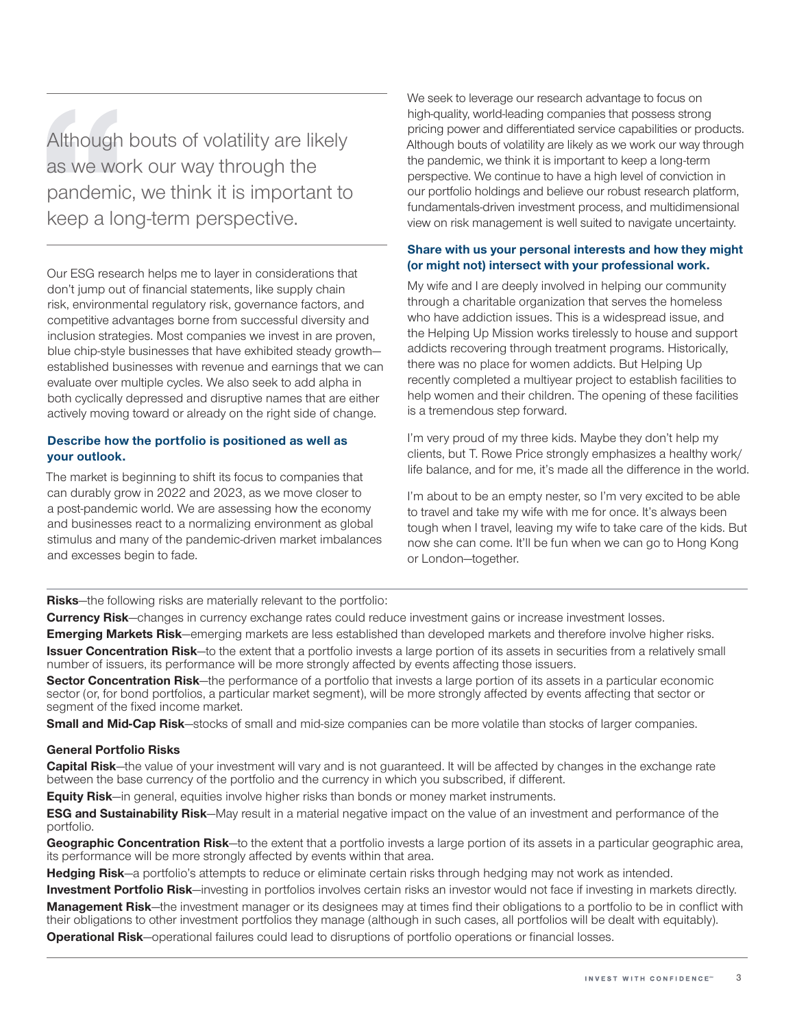Although bouts of volatility are likely as we work our way through the pandemic, we think it is important to keep a long-term perspective.

Our ESG research helps me to layer in considerations that don't jump out of financial statements, like supply chain risk, environmental regulatory risk, governance factors, and competitive advantages borne from successful diversity and inclusion strategies. Most companies we invest in are proven, blue chip-style businesses that have exhibited steady growth established businesses with revenue and earnings that we can evaluate over multiple cycles. We also seek to add alpha in both cyclically depressed and disruptive names that are either actively moving toward or already on the right side of change.

#### **Describe how the portfolio is positioned as well as your outlook.**

The market is beginning to shift its focus to companies that can durably grow in 2022 and 2023, as we move closer to a post-pandemic world. We are assessing how the economy and businesses react to a normalizing environment as global stimulus and many of the pandemic-driven market imbalances and excesses begin to fade.

We seek to leverage our research advantage to focus on high-quality, world-leading companies that possess strong pricing power and differentiated service capabilities or products. Although bouts of volatility are likely as we work our way through the pandemic, we think it is important to keep a long-term perspective. We continue to have a high level of conviction in our portfolio holdings and believe our robust research platform, fundamentals‑driven investment process, and multidimensional view on risk management is well suited to navigate uncertainty.

#### **Share with us your personal interests and how they might (or might not) intersect with your professional work.**

My wife and I are deeply involved in helping our community through a charitable organization that serves the homeless who have addiction issues. This is a widespread issue, and the Helping Up Mission works tirelessly to house and support addicts recovering through treatment programs. Historically, there was no place for women addicts. But Helping Up recently completed a multiyear project to establish facilities to help women and their children. The opening of these facilities is a tremendous step forward.

I'm very proud of my three kids. Maybe they don't help my clients, but T. Rowe Price strongly emphasizes a healthy work/ life balance, and for me, it's made all the difference in the world.

I'm about to be an empty nester, so I'm very excited to be able to travel and take my wife with me for once. It's always been tough when I travel, leaving my wife to take care of the kids. But now she can come. It'll be fun when we can go to Hong Kong or London—together.

**Risks**—the following risks are materially relevant to the portfolio:

**Currency Risk**—changes in currency exchange rates could reduce investment gains or increase investment losses.

**Emerging Markets Risk**—emerging markets are less established than developed markets and therefore involve higher risks. **Issuer Concentration Risk**—to the extent that a portfolio invests a large portion of its assets in securities from a relatively small number of issuers, its performance will be more strongly affected by events affecting those issuers.

**Sector Concentration Risk**—the performance of a portfolio that invests a large portion of its assets in a particular economic sector (or, for bond portfolios, a particular market segment), will be more strongly affected by events affecting that sector or segment of the fixed income market.

**Small and Mid-Cap Risk**—stocks of small and mid-size companies can be more volatile than stocks of larger companies.

#### **General Portfolio Risks**

**Capital Risk**—the value of your investment will vary and is not guaranteed. It will be affected by changes in the exchange rate between the base currency of the portfolio and the currency in which you subscribed, if different.

**Equity Risk**—in general, equities involve higher risks than bonds or money market instruments.

**ESG and Sustainability Risk**—May result in a material negative impact on the value of an investment and performance of the portfolio.

**Geographic Concentration Risk**—to the extent that a portfolio invests a large portion of its assets in a particular geographic area, its performance will be more strongly affected by events within that area.

**Hedging Risk**—a portfolio's attempts to reduce or eliminate certain risks through hedging may not work as intended.

**Investment Portfolio Risk**—investing in portfolios involves certain risks an investor would not face if investing in markets directly. **Management Risk**—the investment manager or its designees may at times find their obligations to a portfolio to be in conflict with their obligations to other investment portfolios they manage (although in such cases, all portfolios will be dealt with equitably).

**Operational Risk**—operational failures could lead to disruptions of portfolio operations or financial losses.